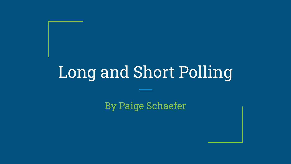# Long and Short Polling

By Paige Schaefer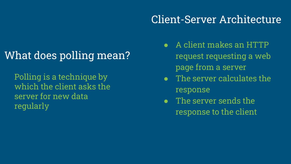# What does polling mean?

Polling is a technique by which the client asks the server for new data regularly

### Client-Server Architecture

- A client makes an HTTP request requesting a web page from a server
- The server calculates the response
- The server sends the response to the client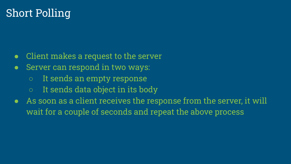### Short Polling

- Client makes a request to the server
- Server can respond in two ways:
	- It sends an empty response
	- $\circ$  It sends data object in its body
- As soon as a client receives the response from the server, it will wait for a couple of seconds and repeat the above process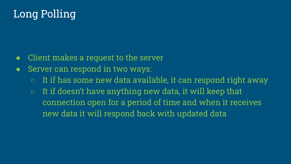## Long Polling

- Client makes a request to the server
- Server can respond in two ways:
	- $\circ$  It if has some new data available, it can respond right away
	- $\circ$  It if doesn't have anything new data, it will keep that connection open for a period of time and when it receives new data it will respond back with updated data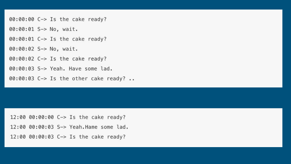00:00:00 C-> Is the cake ready?

00:00:01 S-> No, wait.

00:00:01 C-> Is the cake ready?

00:00:02 S-> No, wait.

00:00:02 C-> Is the cake ready?

00:00:03 S-> Yeah. Have some lad.

00:00:03 C-> Is the other cake ready? ..

12:00 00:00:00 C-> Is the cake ready? 12:00 00:00:03 S-> Yeah.Hame some lad. 12:00 00:00:03 C-> Is the cake ready?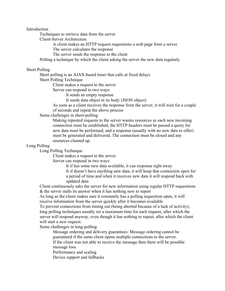Introduction

Techniques to retrieve data from the server

Client-Server Architecture

A client makes an HTTP request requestions a web page from a server

The server calculates the response

The server sends the response to the client

Polling a technique by which the client asking the server the new data regularly

#### Short Polling

Short polling is an AJAX-based timer that calls at fixed delays

Short Polling Technique

Client makes a request to the server

Server can respond in two ways:

It sends an empty response

It sends data object in its body (JSON object)

As soon as a client receives the response from the server, it will wait for a couple of seconds and repeat the above process

Some challenges in short-polling

Making repeated requests to the server wastes resources as each new incoming connection must be established, the HTTP headers must be passed a query for new data must be performed, and a response (usually with no new data to offer) must be generated and delivered. The connection must be closed and any resources cleaned up.

### Long Polling

Long Polling Technique

Client makes a request to the server

Server can respond in two ways:

It if has some new data available, it can response right away It if doesn't have anything new data, it will keep that connection open for a period of time and when it receives new data it will respond back with updated data

Client continuously asks the server for new information using regular HTTP requestions & the server stalls its answer when it has nothing new to report

As long as the client makes sure it constantly has a polling requestion open, it will receive information from the server quickly after it becomes available

To prevent connections from timing out (being aborted because of a lack of activity), long polling techniques usually set a maximum time for each request, after which the server will respond anyway, even though it has nothing to repeat, after which the client will start a new request.

Some challenges in long-polling

Message ordering and delivery guarantees: Message ordering cannot be guaranteed if the same client opens multiple connections to the server.

If the client was not able to receive the message then there will be possible message loss.

Performance and scaling

Device support and fallbacks